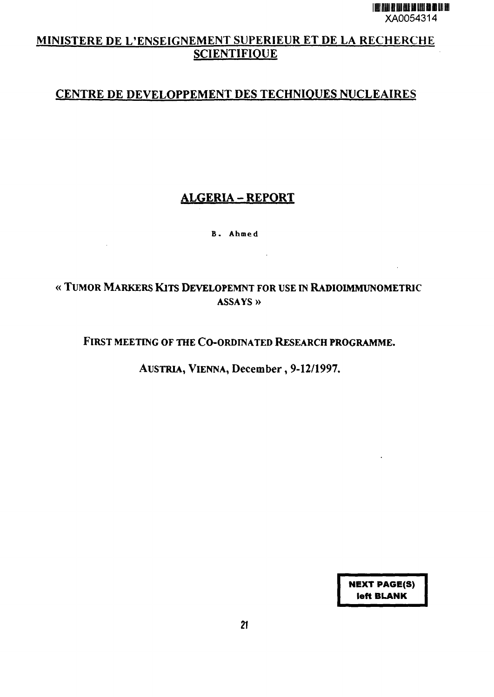# MINISTERE DE L'ENSEIGNEMENT SUPERIEUR ET DE LA RECHERCHE **SCIENTIFIQUE**

# CENTRE DE DEVELOPPEMENT DES TECHNIQUES NUCLEAIRES

# **ALGERIA-REPORT**

**B. Ahmed**

# « TUMOR MARKERS KITS DEVELOPEMNT FOR USE IN RADIOIMMUNOMETRIC **ASSAYS »**

 $\sim$ 

## FIRST MEETING OF THE CO-ORDINATED RESEARCH PROGRAMME.

AUSTRIA, VIENNA, December, 9-12/1997.

**NEXT PAGE(S) left BLANK**

 $\ddot{\phantom{a}}$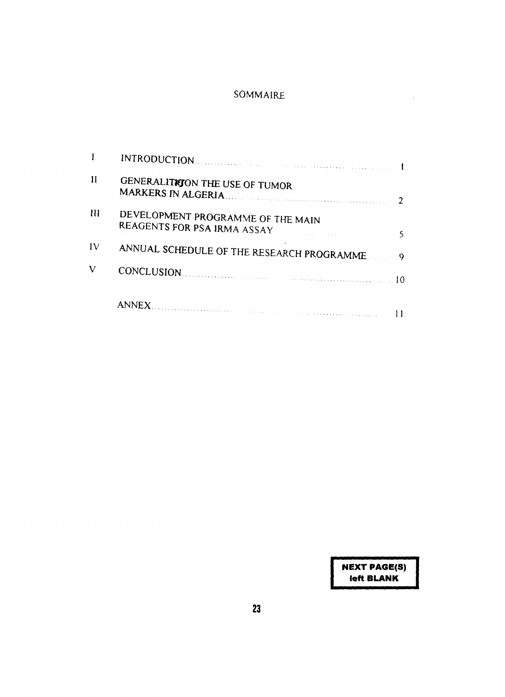## SOMMAIRE

| Н  | GENERALITION THE USE OF TUMOR                                    |
|----|------------------------------------------------------------------|
| т  | DEVELOPMENT PROGRAMME OF THE MAIN<br>REAGENTS FOR PSA IRMA ASSAY |
| IV | ANNUAL SCHEDULE OF THE RESEARCH PROGRAMME.<br>9                  |
| V  | CONCLUSION.                                                      |
|    | ANNEX.                                                           |

**NEXT PAGE(S) left BLANK**

 $\bar{\mathcal{A}}$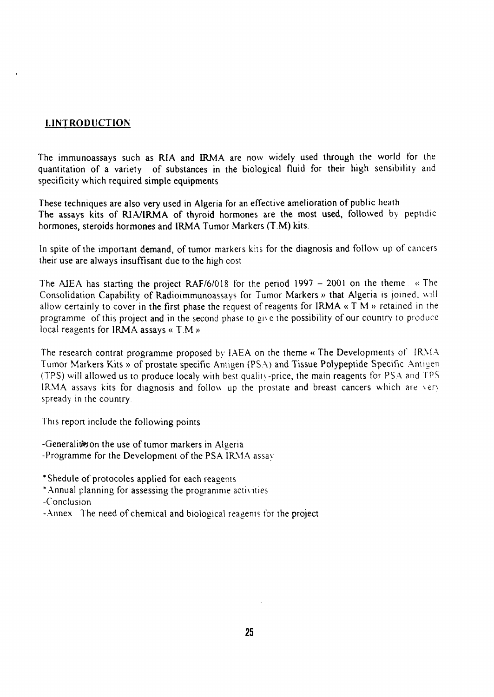## **[.INTRODUCTION**

The immunoassays such as RIA and IRMA are now widely used through the world for the quantitation of a variety of substances in the biological fluid for their high sensibility and specificity which required simple equipments

These techniques are also very used in Algeria for an effective amelioration of public heath The assays kits of RIA/IRMA of thyroid hormones are the most used, followed by peptidic hormones, steroids hormones and IRMA Tumor Markers (T.M) kits.

In spite of the important demand, of tumor markers kits for the diagnosis and follow up of cancers their use are always insuffisant due to the high cost

The AIEA has starting the project RAF/6/018 for the period 1997  $-$  2001 on the theme  $\alpha$  The Consolidation Capability of Radioimmunoassays for Tumor Markers » that Algeria is joined, will allow certainly to cover in the first phase the request of reagents for IRMA « T M » retained in the programme of this project and in the second phase to gi\ e the possibility of our country to produce local reagents for IRMA assays « T.M »

The research contrat programme proposed by IAEA on the theme « The Developments of IRMA Tumor Markers Kits » of prostate specific Antigen (PSA) and Tissue Polypeptide Specific Antigen (TPS) will allowed us to produce localy with best quality-price, the main reagents for PSA and TPS IRMA assays kits for diagnosis and follow up the prostate and breast cancers which are \er\ spready in the country

This report include the following points

-Generalities on the use of tumor markers in Algeria -Programme for the Development of the PSA IRMA assav

\*Shedule of protocoles applied for each reagents

\* Annual planning for assessing the programme activities

-Conclusion

-Annex The need of chemical and biological reagents for the project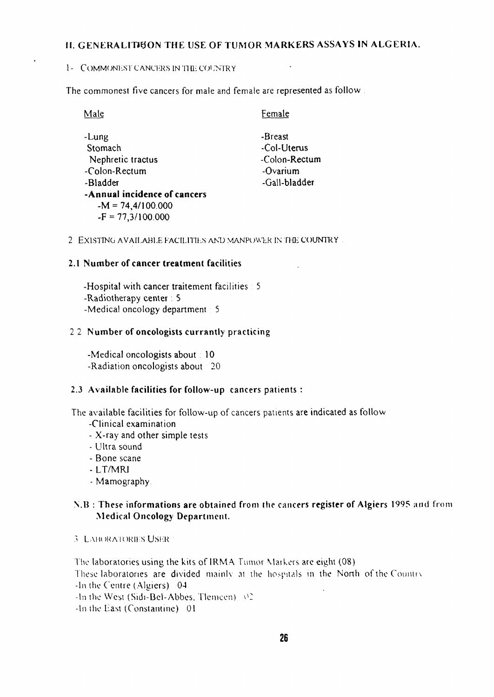## II. GENERALITION THE USE OF TUMOR MARKERS ASSAYS IN ALGERIA.

#### 1- COMMONEST CANCERS IN THE COUNTRY

The commonest five cancers for male and female are represented as follow:

| Male                         | Female        |
|------------------------------|---------------|
| -Lung                        | -Breast       |
| Stomach                      | -Col-Uterus   |
| Nephretic tractus            | -Colon-Rectum |
| -Colon-Rectum                | -Ovarium      |
| -Bladder                     | -Gall-bladder |
| -Annual incidence of cancers |               |
| $-M = 74,4/100.000$          |               |
| $-F = 77,3/100.000$          |               |

2 EXISTING AVAILABLE FACILITIES AND MANPOWER IN THE COUNTRY.

#### 2.1 Number of cancer treatment facilities

-Hospital with cancer traitement facilities  $\pm$  5 -Radiotherapy center: 5 -Medical oncology department  $\pm$  5

#### 2 2 Number of oncologists currantly practicing

-Medical oncologists about : 10 -Radiation oncologists about 20

#### 2.3 Available facilities for follow-up cancers patients :

The available facilities for follow-up of cancers patients are indicated as follow

- -Clinical examination
- X-ray and other simple tests
- Ultra sound
- Bone scane
- LT/MRJ
- Mamography

#### N.B : These informations are obtained from the cancers register of Algiers 1995 ami from Medical Oncology Department.

3 LABORATORIES USER

The laboratories using the kits of 1RMA Tumor Markers are eight (08) These laboratories are divided mainly at the hospitals in the North of the Country -In ihe Centre (Algiers) 04 -In the West (Sidi-Bel-Abbes. Tlemcen)  $\sqrt{2}$ -In the East (Constantine) 01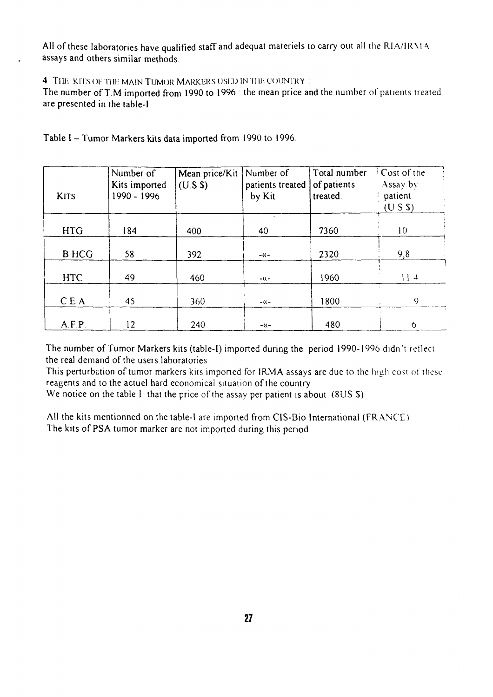All of these laboratories have qualified staff and adequat materiels to carry out all the RIA/1RMA assays and others similar methods

4 THE KITS OF THE MAIN TUMOR MARKERS USED IN THE COUNTRY

The number of T.M imported from 1990 to 1996 the mean price and the number of patients treated are presented in the table-I

| <b>KITS</b>  | Number of<br>Kits imported<br>1990 - 1996 | Mean price/Kit<br>(U.S S) | Number of<br>patients treated<br>by Kit | Total number<br>of patients<br>treated. | <sup>i</sup> Cost of the<br>Assay by<br>patient<br>(U S S) |
|--------------|-------------------------------------------|---------------------------|-----------------------------------------|-----------------------------------------|------------------------------------------------------------|
| <b>HTG</b>   | 184                                       | 400                       | 40                                      | 7360                                    | 10                                                         |
| <b>B HCG</b> | 58                                        | 392                       | $-(1)$                                  | 2320                                    | 9,8                                                        |
| <b>HTC</b>   | 49                                        | 460                       | $-(1)$                                  | 1960                                    | 114                                                        |
| C.E.A        | 45                                        | 360                       | $-(\zeta -$                             | 1800                                    | 9                                                          |
| A.F.P.       | 12                                        | 240                       | $-(1)$                                  | 480                                     | 6                                                          |

Table I - Tumor Markers kits data imported from 1990 to 1996.

The number of Tumor Markers kits (table-I) imported during the period 1990-1996 didn't reflect the real demand of the users laboratories

This perturbation of tumor markers kits imported for 1RMA assays are due to the high cost of these reagents and to the actuel hard economical situation of the country

We notice on the table I that the price of the assay per patient is about (8US \$).

All the kits mentionned on the table-1 are imported from CIS-Bio International (FRANCE) The kits of PSA tumor marker are not imported during this period.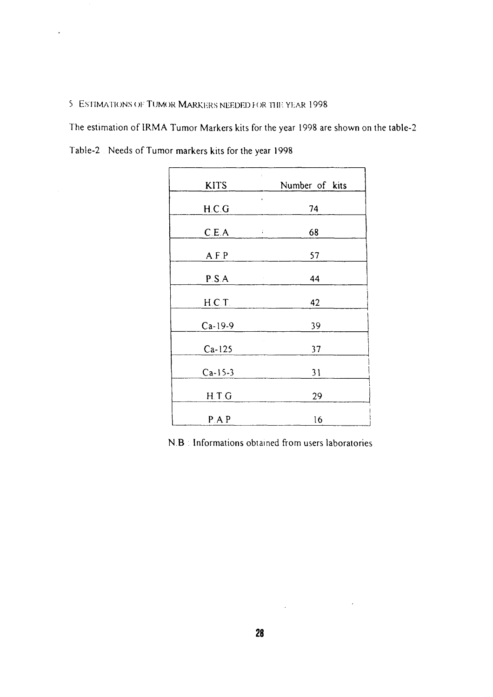#### 5 ESTIMATIONS OF TUMOR MARKERS NEEDED FOR THE YEAR 1998

The estimation of IRMA Tumor Markers kits for the year 1998 are shown on the table-2

Table-2 Needs of Tumor markers kits for the year 1998

 $\ddot{\phantom{a}}$ 

| ____        |                                  |
|-------------|----------------------------------|
| <b>KITS</b> | ł<br>Number of kits              |
| H.C.G       | ¢,<br>74                         |
| C.E.A       | 68<br>÷.                         |
| A.F.P       | 57                               |
| P.S.A       | 44<br>$\hat{\boldsymbol{\beta}}$ |
| H.C.T.      | 42                               |
| $Ca-19-9$   | 39                               |
| $Ca-125$    | 37                               |
| $Ca-15-3$   | 31                               |
| H.T.G       | 29                               |
| P.A.P       | 16                               |

N.B : Informations obtained from users laboratories

 $\label{eq:2.1} \frac{1}{\sqrt{2}}\int_{\mathbb{R}^3} \frac{1}{\sqrt{2}}\left(\frac{1}{\sqrt{2}}\right)^2\left(\frac{1}{\sqrt{2}}\right)^2\left(\frac{1}{\sqrt{2}}\right)^2\left(\frac{1}{\sqrt{2}}\right)^2\left(\frac{1}{\sqrt{2}}\right)^2.$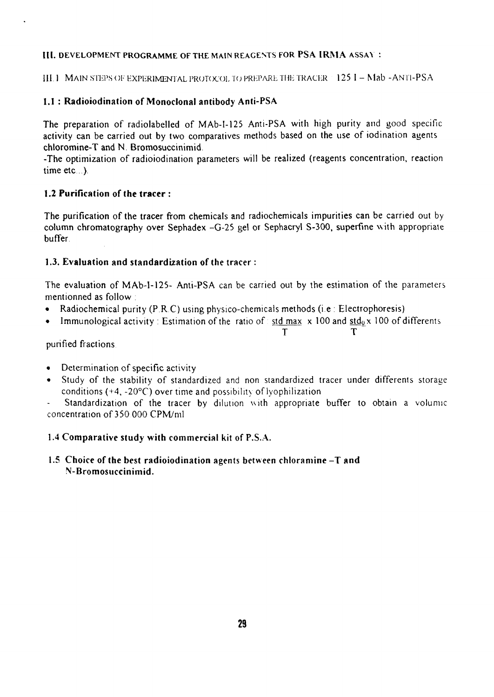#### **III.** DEVELOPMENT PROGRAMME OF THE MAIN REAGENTS FOR **PSA IRMA** ASSAY :

III. 1 MAIN STEPS OF EXPERIMENTAL PROTOCOL TO PREPARE THE TRACER  $\pm$  125 I - Mab -ANTI-PSA

#### 1.1 : **Radioiodination** of **Monoclonal** antibody Anti-PSA

The preparation of radiolabelled of MAb-I-125 Anti-PSA with high purity and good specific activity can be carried out by two comparatives methods based on the use of iodination agents chloromine-T and N. Bromosuccinimid.

-The optimization of radioiodination parameters will be realized (reagents concentration, reaction time  $etc.$ .).

#### **1.2 Purification of the tracer** :

The purification of the tracer from chemicals and radiochemicals impurities can be carried out by column chromatography over Sephadex -G-25 gel or Sephacryl S-300, superfine with appropriate buffer

#### 1.3. **Evaluation** and standardization of the tracer :

The evaluation of MAb-I-125- Anti-PSA can be carried out by the estimation of the parameters mentionned as follow :

- Radiochemical purity  $(P.R.C)$  using physico-chemicals methods (i.e : Electrophoresis)
- Immunological activity: Estimation of the ratio of  $\frac{1}{2}$  std max x 100 and std<sub>0</sub> x 100 of differents

# T T

purified fractions

- Determination of specific activity
- Study of the stability of standardized and non standardized tracer under differents storage conditions  $(+4, -20^{\circ}C)$  over time and possibility of lyophilization

Standardization of the tracer by dilution with appropriate buffer to obtain a volumic concentration of 350 000 CPM/ml

## **1.4 Comparative study with** commercial kit of P.S.A.

#### 1.5 Choice of the best radioiodination agents between chloramine -T and N-Bromosuccinimid.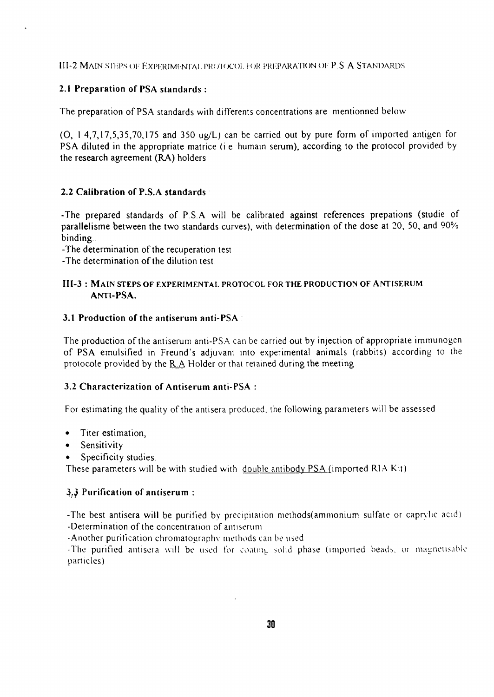III-2 MAIN STEPS OF EXPERIMENTAL PROTOCOL FOR PREPARATION OF P.S.A STANDARDS

#### 2.1 Preparation of PSA standards :

The preparation of PSA standards with differents concentrations are mentionned below

(O, 1 4,7,17,5,35,70,175 and 350 ug/L) can be carried out by pure form of imported antigen for PSA diluted in the appropriate matrice (i e humain serum), according to the protocol provided by the research agreement (RA) holders

#### 2.2 Calibration of P.S.A standards

-The prepared standards of PS A will be calibrated against references prepations (studie of parallelisme between the two standards curves), with determination of the dose at 20, 50, and 90% binding .

-The determination of the recuperation test

-The determination of the dilution test

#### III-3: MAIN STEPS OF EXPERIMENTAL PROTOCOL FOR THE PRODUCTION OF ANTISERUM ANTI-PSA .

#### 3.1 Production of the antiserum anti-PSA

The production of the antiserum anti-PSA can be carried out by injection of appropriate immunogen of PSA emulsified in Freund's adjuvant into experimental animals (rabbits) according to the protocole provided by the R A Holder or that retained during the meeting

#### 3.2 Characterization of Antiserum anti-PSA :

For estimating the quality of the antisera produced, the following parameters will be assessed

- Titer estimation,
- Sensitivity
- Specificity studies.

These parameters will be with studied with double antibody PSA (imported RIA Kit)

#### 3.3 Purification of antiserum: 3,;3 Purification of antiserum :

-The best antisera will be purified by precipitation methods(ammonium sulfate or caprylic acid) -Determination of the concentration of antiserum

-Another purification chromatography methods can be used.

-The purified antisera will be used for coating solid phase (imported beads, or magnetisable  $T$ urified antisera will bo used for coating solid phase (imported beads, or magnetisable beads, or magnetisable beads, or magnetisable beads, or magnetisable beads, or magnetisable beads, or magnetisable beads, or magnet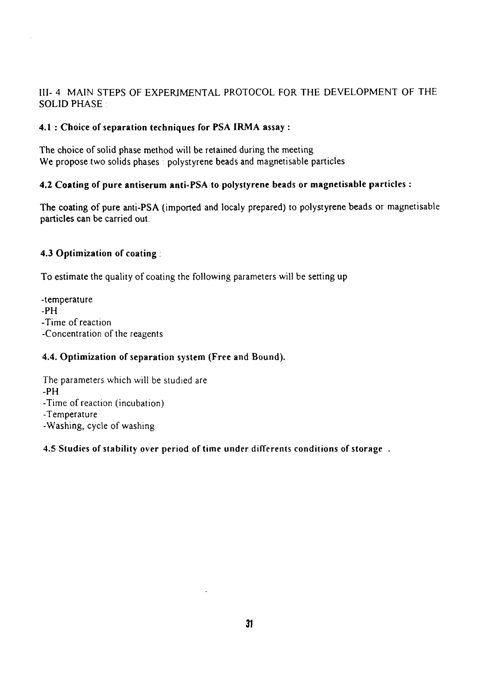## Ill- 4 MAIN STEPS OF EXPERIMENTAL PROTOCOL FOR THE DEVELOPMENT OF THE SOLID PHASE

#### **4.1 : Choice of separation techniques for PSA IRMA assay** :

The choice of solid phase method will be retained during the meeting We propose two solids phases polystyrene beads and magnetisable particles.

#### **4.2 Coating of pure antiserum anti-PSA to polystyrene beads or magnetisable particles :**

**The coating of pure anti-PSA** (imported **and** localy prepared) to **polystyrene beads** or magnetisable **particles can** be carried out.

#### **4.3 Optimization of coating** :

To estimate the quality of coating the following parameters will be setting up

-temperature -PH -Time of reaction -Concentration of the reagents

#### **4.4. Optimization of separation system (Free and Bound).**

The parameters which will be studied are -PH -Time of reaction (incubation) -Temperature -Washing, cycle of washing

#### **4.5 Studies of stability over period of time under differents conditions of storage .**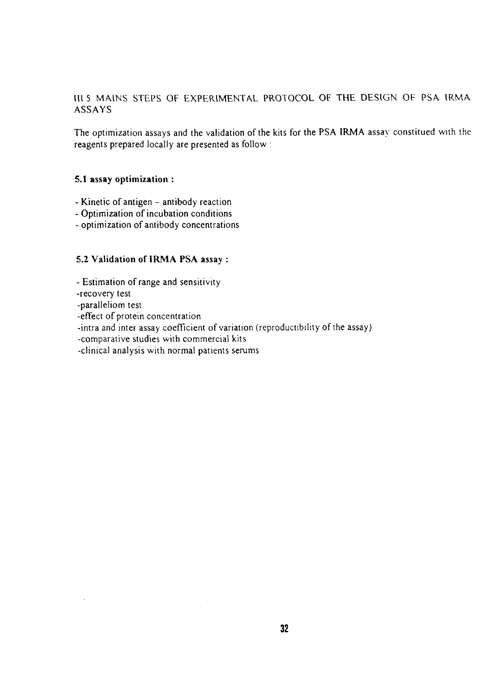Ill.5 MAINS STEPS OF EXPERIMENTAL PROTOCOL OF THE DESIGN OF PSA IRMA ASSAYS

The optimization assays and the validation of the kits for the **PSA IRMA** assay constitued with the reagents prepared locally are presented as follow :

#### **5.1 assay optimization** :

- Kinetic of antigen antibody reaction
- Optimization of incubation conditions
- optimization of antibody concentrations

#### **5.2 Validation of IRMA PSA** assay :

- Estimation of range and sensitivity

-recovery test

-paralleliom test.

-effect of protein concentration

-intra and inter assay coefficient of variation (reproductibility of the assay)

-comparative studies with commercial kits

-clinical analysis with normal patients serums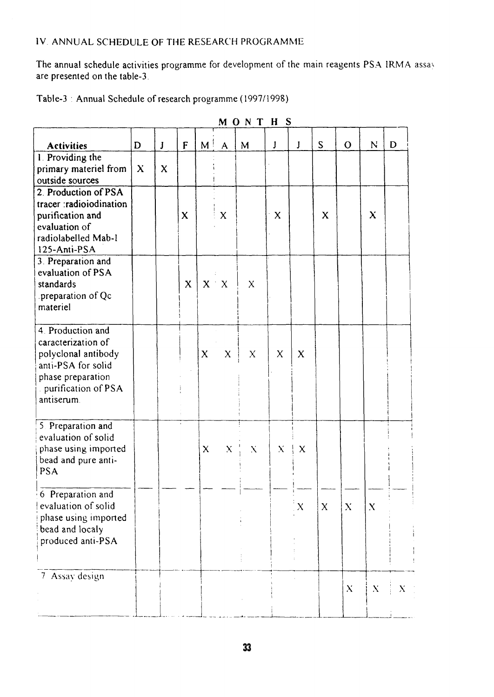## IV ANNUAL SCHEDULE OF THE RESEARCH PROGRAMME

The annual schedule activities programme for development of the main reagents PSA IRMA assay are presented on the table-3

| Table-3: Annual Schedule of research programme (1997/1998) |  |
|------------------------------------------------------------|--|
|------------------------------------------------------------|--|

| MONT<br>S<br>$\bf H$                                                                                                                           |              |             |              |              |              |              |   |              |              |             |             |   |
|------------------------------------------------------------------------------------------------------------------------------------------------|--------------|-------------|--------------|--------------|--------------|--------------|---|--------------|--------------|-------------|-------------|---|
| <b>Activities</b>                                                                                                                              | D            | $\bf J$     | F            | $M^+$        | $\mathsf{A}$ | M            | J | J            | S            | $\mathbf O$ | N           | D |
| 1 Providing the<br>primary materiel from<br>outside sources                                                                                    | $\mathbf{x}$ | $\mathbf x$ |              |              |              |              |   |              |              |             |             |   |
| 2. Production of PSA<br>tracer radioiodination<br>purification and<br>evaluation of<br>radiolabelled Mab-I<br>125-Anti-PSA                     |              |             | $\mathbf x$  |              | $\mathsf{X}$ |              | X |              | X            |             | $\mathbf x$ |   |
| 3. Preparation and<br>evaluation of PSA<br>standards<br>preparation of Qc.<br>materiel                                                         |              |             | $\mathbf{X}$ |              | $X \doteq X$ | $\mathsf{X}$ |   |              |              |             |             |   |
| 4. Production and<br>caracterization of<br>polyclonal antibody<br>anti-PSA for solid<br>phase preparation<br>purification of PSA<br>antiserum. |              |             |              | X            | X            | X            | X | $\mathbf x$  |              |             |             |   |
| 5. Preparation and<br>evaluation of solid<br>phase using imported<br>bead and pure anti-<br><b>PSA</b>                                         |              |             |              | $\mathsf{X}$ | X            | X            | X | X            |              |             |             |   |
| 6 Preparation and<br>evaluation of solid<br>phase using imported<br>bead and localy<br>produced anti-PSA                                       |              |             |              |              |              |              |   | $\mathbf{X}$ | $\mathbf{X}$ | X           | X           |   |
| 7 Assay design                                                                                                                                 |              |             |              |              |              |              |   |              |              | X           | $\bf{X}$    | X |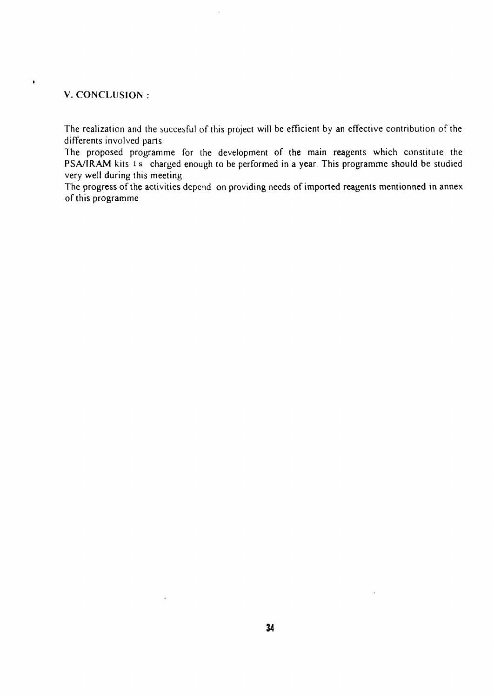#### V. CONCLUSION

 $\pmb{\mathfrak{g}}$ 

The realization and the succesful of this project will be efficient by an effective contribution of the differents involved parts.

The proposed programme for the development of the main reagents which constitute the PSA/IRAM kits is charged enough to be performed in a year. This programme should be studied very well during this meeting

The progress of the activities depend on providing needs of imported reagents mentionned in annex of this programme

 $\ddot{\phantom{a}}$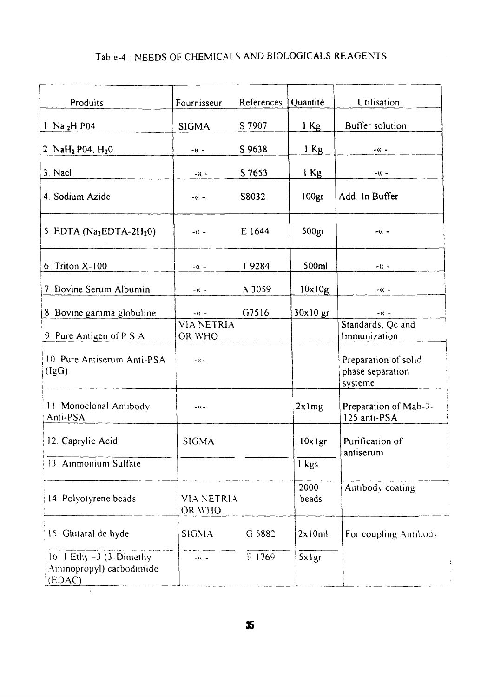# Table-4 : NEEDS OF CHEMICALS AND BIOLOGICALS REAGENTS

| Produits                                                        | Fournisseur          | References | Quantité          | <b>Utilisation</b>                                  |  |
|-----------------------------------------------------------------|----------------------|------------|-------------------|-----------------------------------------------------|--|
| 1. Na $_2$ H P04                                                | <b>SIGMA</b>         | S 7907     | $1$ Kg            | Buffer solution                                     |  |
| 2. $NaH2$ P04. $H20$                                            | $-0$                 | S 9638     | $1$ Kg            | -K -                                                |  |
| 3. Nacl                                                         | $-\kappa$ -          | S 7653     | l Kg              | - ((  –                                             |  |
| 4. Sodium Azide                                                 | $-(0 -$              | S8032      | 100 <sub>gr</sub> | Add In Buffer                                       |  |
| 5. EDTA $(Na2EDTA-2H20)$                                        | $-(0 -$              | E 1644     | 500 <sub>gr</sub> | $-(0 -$                                             |  |
| 6. Triton X-100                                                 | $-($ $-$             | T 9284     | 500ml             | - (( –                                              |  |
| 7. Bovine Serum Albumin                                         | $-(1 -$              | $A$ 3059   | 10x10g            | $-(0 -$                                             |  |
| 8 Bovine gamma globuline                                        | $-(0 -$              | G7516      | $30x10$ gr        | $-(0 -$                                             |  |
| 9 Pure Antigen of P.S.A.                                        | VIA NETRIA<br>OR WHO |            |                   | Standards, Qc and<br>Immunization.                  |  |
| 10. Pure Antiserum Anti-PSA<br>(IgG)                            | $-0$                 |            |                   | Preparation of solid<br>phase separation<br>systeme |  |
| 11 Monoclonal Antibody<br>Anti-PSA.                             | $-00 -$              |            | $2x$ l mg         | Preparation of Mab-3-<br>125 anti-PSA.              |  |
| 12. Caprylic Acid                                               | <b>SIGMA</b>         |            | $10x$ lgr         | Purification of<br>antiserum                        |  |
| 13. Ammonium Sulfate                                            |                      |            | I kgs             |                                                     |  |
| 14 Polyotyrene beads                                            | VIA NETRIA<br>OR WHO |            | 2000<br>beads     | Antibody coating                                    |  |
| 15 Glutaral de hyde                                             | <b>SIGMA</b>         | G 5882     | 2x10ml            | For coupling Antibody                               |  |
| 16 1 Ethy $-3$ (3-Dimethy<br>Aminopropyl) carbodimide<br>(EDAC) | $-66 - 1$            | E 1769     | Sxlgr             |                                                     |  |